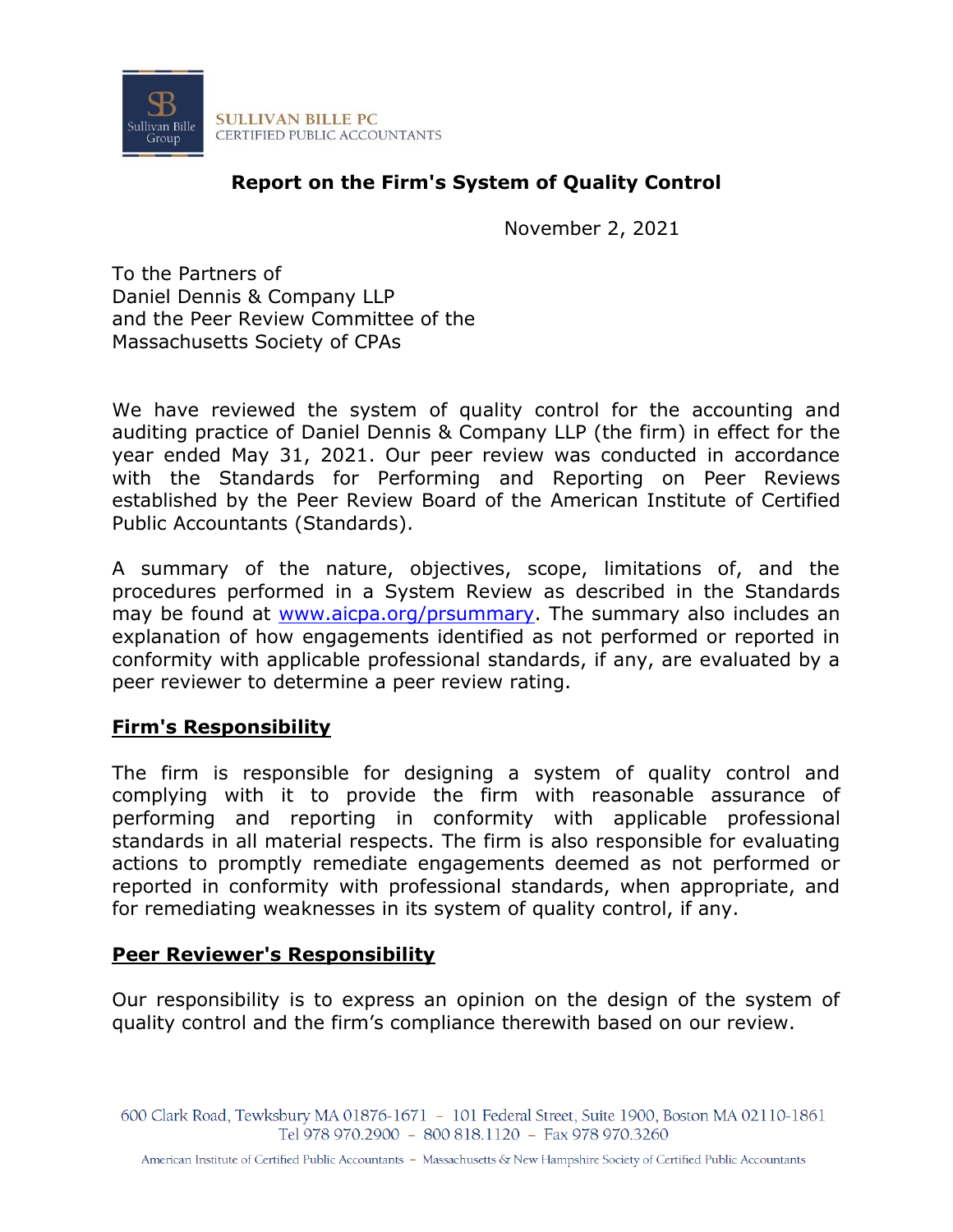

# **Report on the Firm's System of Quality Control**

November 2, 2021

To the Partners of Daniel Dennis & Company LLP and the Peer Review Committee of the Massachusetts Society of CPAs

We have reviewed the system of quality control for the accounting and auditing practice of Daniel Dennis & Company LLP (the firm) in effect for the year ended May 31, 2021. Our peer review was conducted in accordance with the Standards for Performing and Reporting on Peer Reviews established by the Peer Review Board of the American Institute of Certified Public Accountants (Standards).

A summary of the nature, objectives, scope, limitations of, and the procedures performed in a System Review as described in the Standards may be found at [www.aicpa.org/prsummary.](http://www.aicpa.org/prsummary) The summary also includes an explanation of how engagements identified as not performed or reported in conformity with applicable professional standards, if any, are evaluated by a peer reviewer to determine a peer review rating.

### **Firm's Responsibility**

The firm is responsible for designing a system of quality control and complying with it to provide the firm with reasonable assurance of performing and reporting in conformity with applicable professional standards in all material respects. The firm is also responsible for evaluating actions to promptly remediate engagements deemed as not performed or reported in conformity with professional standards, when appropriate, and for remediating weaknesses in its system of quality control, if any.

### **Peer Reviewer's Responsibility**

Our responsibility is to express an opinion on the design of the system of quality control and the firm's compliance therewith based on our review.